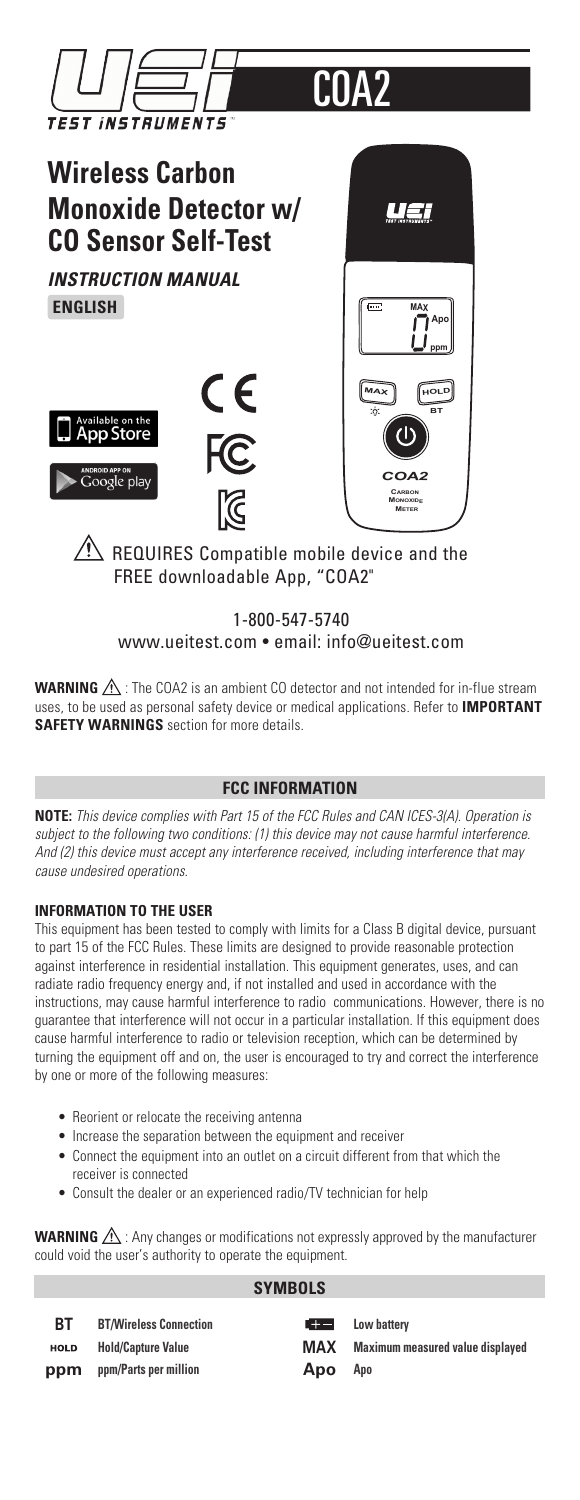

# $\overline{\mathcal{B}}$  REQUIRES Compatible mobile device and the FREE downloadable App, "COA2"

# 1-800-547-5740 www.ueitest.com • email: info@ueitest.com

**WARNING**  $\Lambda$ : The COA2 is an ambient CO detector and not intended for in-flue stream uses, to be used as personal safety device or medical applications. Refer to **IMPORTANT SAFETY WARNINGS** section for more details.

#### **FCC INFORMATION**

**NOTE:** *This device complies with Part 15 of the FCC Rules and CAN ICES-3(A). Operation is subject to the following two conditions: (1) this device may not cause harmful interference. And (2) this device must accept any interference received, including interference that may cause undesired operations.*

#### **INFORMATION TO THE USER**

This equipment has been tested to comply with limits for a Class B digital device, pursuant to part 15 of the FCC Rules. These limits are designed to provide reasonable protection against interference in residential installation. This equipment generates, uses, and can radiate radio frequency energy and, if not installed and used in accordance with the instructions, may cause harmful interference to radio communications. However, there is no guarantee that interference will not occur in a particular installation. If this equipment does cause harmful interference to radio or television reception, which can be determined by turning the equipment off and on, the user is encouraged to try and correct the interference by one or more of the following measures:

- Reorient or relocate the receiving antenna
- Increase the separation between the equipment and receiver
- Connect the equipment into an outlet on a circuit different from that which the receiver is connected
- Consult the dealer or an experienced radio/TV technician for help

**WARNING**  $\triangle$ : Any changes or modifications not expressly approved by the manufacturer could void the user's authority to operate the equipment.

| <b>SYMBOLS</b> |                               |       |                                  |  |
|----------------|-------------------------------|-------|----------------------------------|--|
| RТ             | <b>BT/Wireless Connection</b> | E ter | Low battery                      |  |
| <b>HOLD</b>    | <b>Hold/Capture Value</b>     | MAX   | Maximum measured value displayed |  |
| ppm            | ppm/Parts per million         | Apo   | Apo                              |  |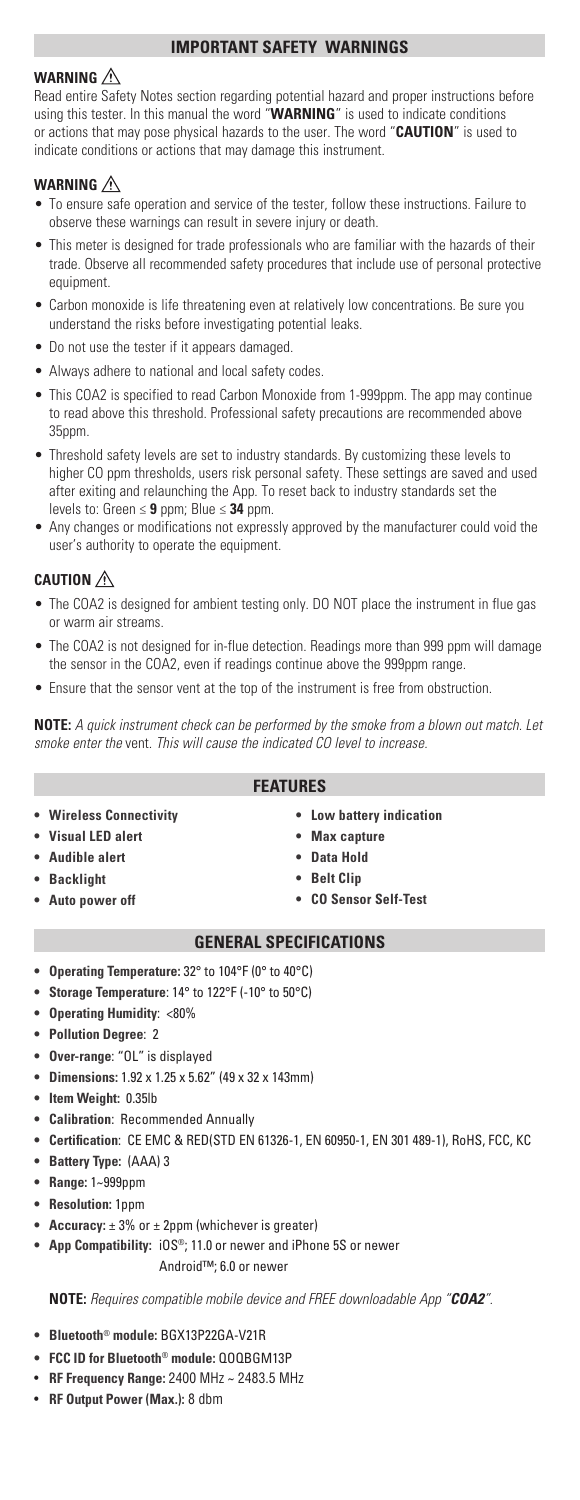#### **IMPORTANT SAFETY WARNINGS**

## **WARNING**

Read entire Safety Notes section regarding potential hazard and proper instructions before using this tester. In this manual the word "**WARNING**" is used to indicate conditions or actions that may pose physical hazards to the user. The word "**CAUTION**" is used to indicate conditions or actions that may damage this instrument.

#### **WARNING**

- To ensure safe operation and service of the tester, follow these instructions. Failure to observe these warnings can result in severe injury or death.
- This meter is designed for trade professionals who are familiar with the hazards of their trade. Observe all recommended safety procedures that include use of personal protective equipment.
- Carbon monoxide is life threatening even at relatively low concentrations. Be sure you understand the risks before investigating potential leaks.
- Do not use the tester if it appears damaged.
- Always adhere to national and local safety codes.
- This COA2 is specified to read Carbon Monoxide from 1-999ppm. The app may continue to read above this threshold. Professional safety precautions are recommended above 35ppm.
- Threshold safety levels are set to industry standards. By customizing these levels to higher CO ppm thresholds, users risk personal safety. These settings are saved and used after exiting and relaunching the App. To reset back to industry standards set the levels to: Green ≤ **9** ppm; Blue ≤ **34** ppm.
- Any changes or modifications not expressly approved by the manufacturer could void the user's authority to operate the equipment.

# **CAUTION**

- The COA2 is designed for ambient testing only. DO NOT place the instrument in flue gas or warm air streams.
- The COA2 is not designed for in-flue detection. Readings more than 999 ppm will damage the sensor in the COA2, even if readings continue above the 999ppm range.
- Ensure that the sensor vent at the top of the instrument is free from obstruction.

**NOTE:** *A quick instrument check can be performed by the smoke from a blown out match. Let smoke enter the* vent*. This will cause the indicated CO level to increase.*

#### **FEATURES**

- **• Wireless Connectivity**
- **• Visual LED alert**
- **• Audible alert**
- **• Backlight**
- **• Auto power off**
- **• Low battery indication**
- **Max capture**
- **Data Hold**
- **Belt Clip**
- **CO Sensor Self-Test**

#### **GENERAL SPECIFICATIONS**

- **• Operating Temperature:** 32° to 104°F (0° to 40°C)
- **• Storage Temperature**: 14° to 122°F (-10° to 50°C)
- **• Operating Humidity**: <80%
- **• Pollution Degree**: 2
- **• Over-range**: "OL" is displayed
- **• Dimensions:** 1.92 x 1.25 x 5.62" (49 x 32 x 143mm)
- **• Item Weight:** 0.35lb
- **• Calibration**: Recommended Annually
- **• Certification**: CE EMC & RED(STD EN 61326-1, EN 60950-1, EN 301 489-1), RoHS, FCC, KC
- **• Battery Type:** (AAA) 3
- **• Range:** 1~999ppm
- **• Resolution:** 1ppm
- **• Accuracy:** ± 3% or ± 2ppm (whichever is greater)
- **App Compatibility:** iOS®; 11.0 or newer and iPhone 5S or newer Android™; 6.0 or newer

**NOTE:** *Requires compatible mobile device and FREE downloadable App "COA2".*

- **Bluetooth**® **module:** BGX13P22GA-V21R
- **FCC ID for Bluetooth**® **module:** QOQBGM13P
- **RF Frequency Range:** 2400 MHz ~ 2483.5 MHz
- **RF Output Power (Max.):** 8 dbm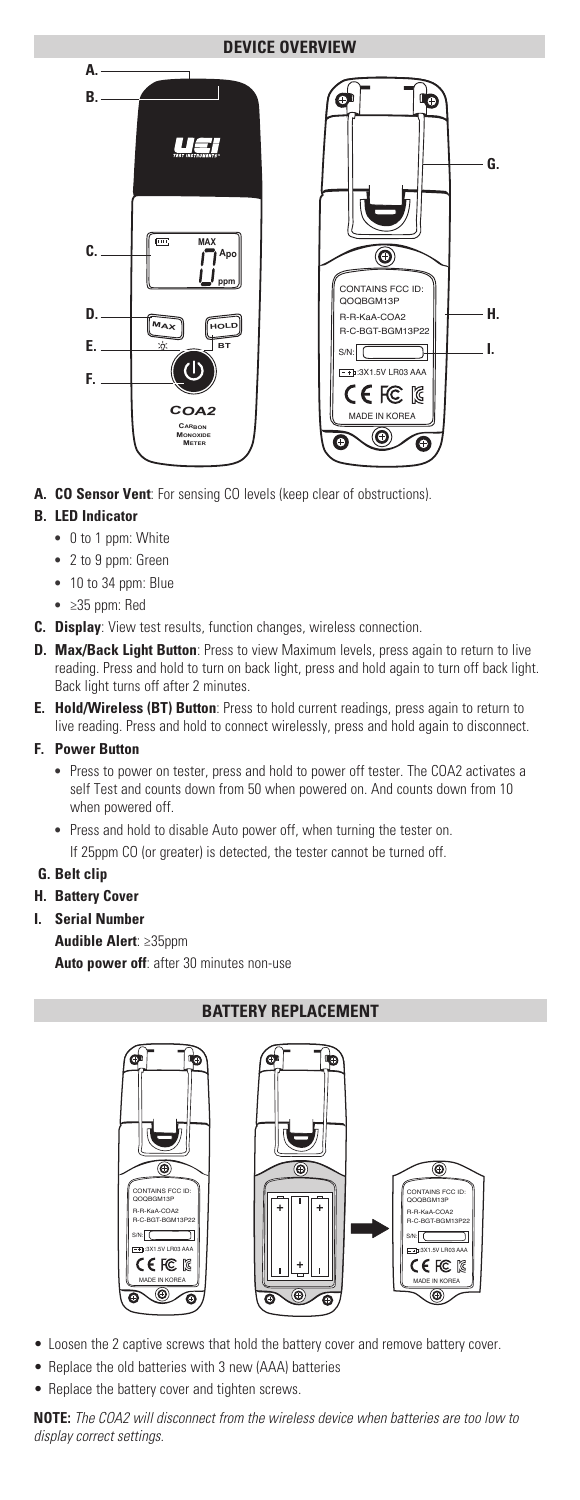## **DEVICE OVERVIEW**



**A. CO Sensor Vent**: For sensing CO levels (keep clear of obstructions).

## **B. LED Indicator**

- **•** 0 to 1 ppm: White
- **•** 2 to 9 ppm: Green
- **•** 10 to 34 ppm: Blue
- **•** ≥35 ppm: Red
- **C. Display**: View test results, function changes, wireless connection.
- **D. Max/Back Light Button**: Press to view Maximum levels, press again to return to live reading. Press and hold to turn on back light, press and hold again to turn off back light. Back light turns off after 2 minutes.
- **E. Hold/Wireless (BT) Button**: Press to hold current readings, press again to return to live reading. Press and hold to connect wirelessly, press and hold again to disconnect.

#### **F. Power Button**

- Press to power on tester, press and hold to power off tester. The COA2 activates a self Test and counts down from 50 when powered on. And counts down from 10 when powered off.
- Press and hold to disable Auto power off, when turning the tester on. If 25ppm CO (or greater) is detected, the tester cannot be turned off.

#### **G. Belt clip**

- **H. Battery Cover**
- **I. Serial Number**
	- **Audible Alert**: ≥35ppm

**Auto power off**: after 30 minutes non-use

## **BATTERY REPLACEMENT**



- Loosen the 2 captive screws that hold the battery cover and remove battery cover.
- Replace the old batteries with 3 new (AAA) batteries
- Replace the battery cover and tighten screws.

**NOTE:** *The COA2 will disconnect from the wireless device when batteries are too low to display correct settings.*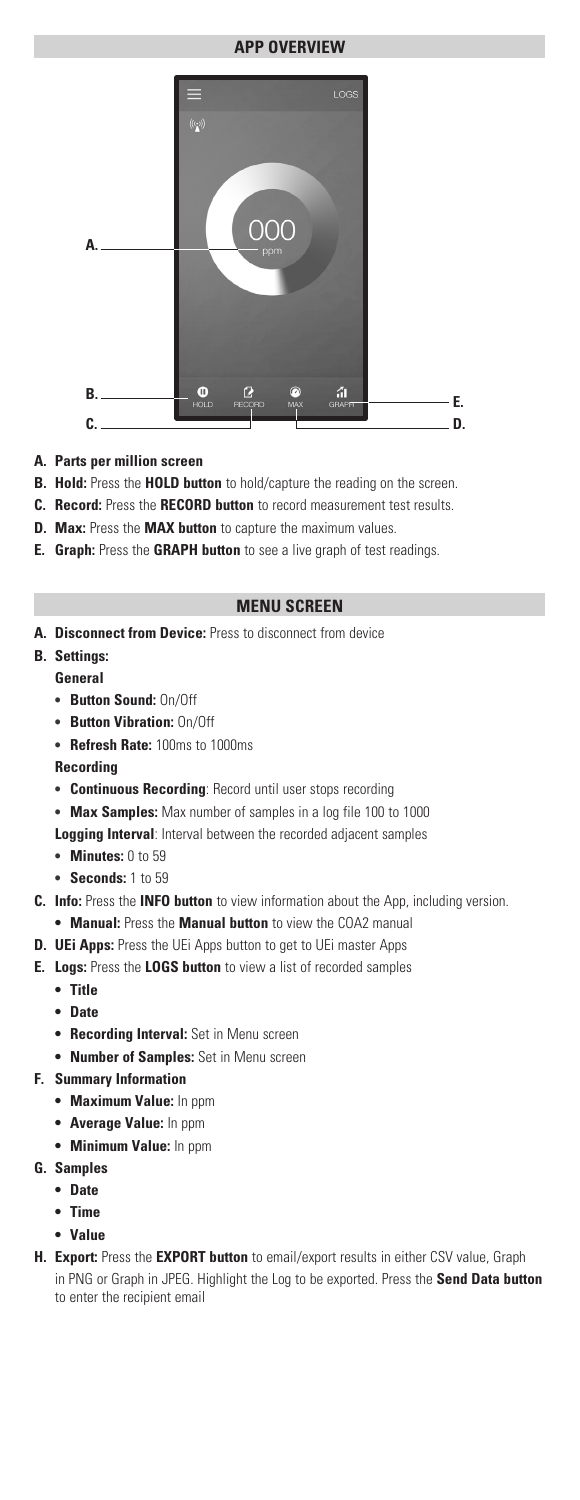#### **APP OVERVIEW**



- **A. Parts per million screen**
- **B. Hold:** Press the **HOLD button** to hold/capture the reading on the screen.
- **C. Record:** Press the **RECORD button** to record measurement test results.
- **D. Max:** Press the **MAX button** to capture the maximum values.
- **E. Graph:** Press the **GRAPH button** to see a live graph of test readings.

#### **MENU SCREEN**

**A. Disconnect from Device:** Press to disconnect from device

# **B. Settings:**

- **General**
- **• Button Sound:** On/Off
- **• Button Vibration:** On/Off
- **• Refresh Rate:** 100ms to 1000ms

**Recording**

- **• Continuous Recording**: Record until user stops recording
- **• Max Samples:** Max number of samples in a log file 100 to 1000
- **Logging Interval**: Interval between the recorded adjacent samples
- **• Minutes:** 0 to 59
- **• Seconds:** 1 to 59
- **C. Info:** Press the **INFO button** to view information about the App, including version.
	- **• Manual:** Press the **Manual button** to view the COA2 manual
- **D. UEi Apps:** Press the UEi Apps button to get to UEi master Apps
- **E. Logs:** Press the **LOGS button** to view a list of recorded samples
	- **• Title**
		- **• Date**
		- **• Recording Interval:** Set in Menu screen
		- **• Number of Samples:** Set in Menu screen

#### **F. Summary Information**

- **• Maximum Value:** In ppm
- **• Average Value:** In ppm
- **• Minimum Value:** In ppm
- **G. Samples**
	- **• Date**
	- **• Time**
	- **• Value**
- **H. Export:** Press the **EXPORT button** to email/export results in either CSV value, Graph in PNG or Graph in JPEG. Highlight the Log to be exported. Press the **Send Data button** to enter the recipient email